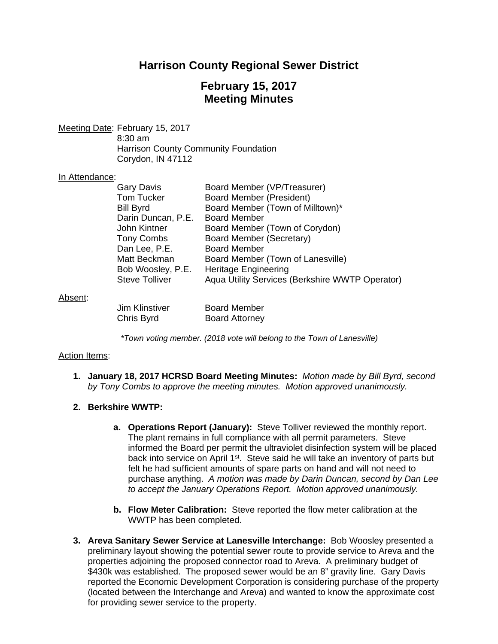# **Harrison County Regional Sewer District**

# **February 15, 2017 Meeting Minutes**

Meeting Date: February 15, 2017 8:30 am Harrison County Community Foundation Corydon, IN 47112

### In Attendance:

| <b>Gary Davis</b>     | Board Member (VP/Treasurer)                     |
|-----------------------|-------------------------------------------------|
| <b>Tom Tucker</b>     | <b>Board Member (President)</b>                 |
| <b>Bill Byrd</b>      | Board Member (Town of Milltown)*                |
| Darin Duncan, P.E.    | <b>Board Member</b>                             |
| John Kintner          | Board Member (Town of Corydon)                  |
| <b>Tony Combs</b>     | Board Member (Secretary)                        |
| Dan Lee, P.E.         | <b>Board Member</b>                             |
| Matt Beckman          | Board Member (Town of Lanesville)               |
| Bob Woosley, P.E.     | <b>Heritage Engineering</b>                     |
| <b>Steve Tolliver</b> | Aqua Utility Services (Berkshire WWTP Operator) |
|                       |                                                 |
|                       |                                                 |
| Jim Klinstiver        | <b>Board Member</b>                             |

### Absent:

Chris Byrd Board Attorney

*\*Town voting member. (2018 vote will belong to the Town of Lanesville)* 

# Action Items:

**1. January 18, 2017 HCRSD Board Meeting Minutes:** *Motion made by Bill Byrd, second by Tony Combs to approve the meeting minutes. Motion approved unanimously.*

# **2. Berkshire WWTP:**

- **a. Operations Report (January):** Steve Tolliver reviewed the monthly report. The plant remains in full compliance with all permit parameters. Steve informed the Board per permit the ultraviolet disinfection system will be placed back into service on April 1<sup>st</sup>. Steve said he will take an inventory of parts but felt he had sufficient amounts of spare parts on hand and will not need to purchase anything. *A motion was made by Darin Duncan, second by Dan Lee to accept the January Operations Report. Motion approved unanimously.*
- **b. Flow Meter Calibration:** Steve reported the flow meter calibration at the WWTP has been completed.
- **3. Areva Sanitary Sewer Service at Lanesville Interchange:** Bob Woosley presented a preliminary layout showing the potential sewer route to provide service to Areva and the properties adjoining the proposed connector road to Areva. A preliminary budget of \$430k was established. The proposed sewer would be an 8" gravity line. Gary Davis reported the Economic Development Corporation is considering purchase of the property (located between the Interchange and Areva) and wanted to know the approximate cost for providing sewer service to the property.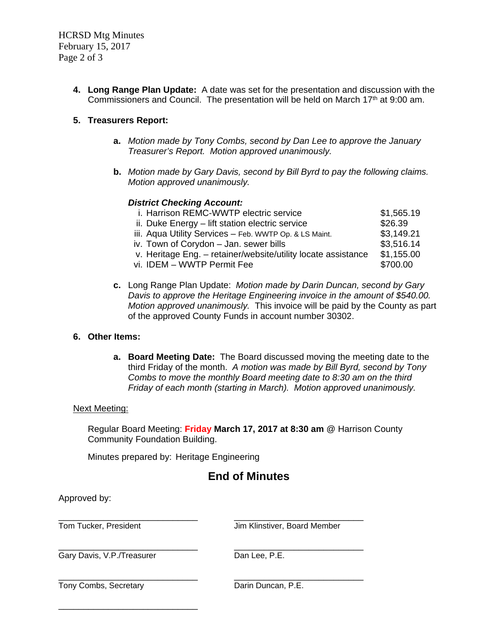HCRSD Mtg Minutes February 15, 2017 Page 2 of 3

> **4. Long Range Plan Update:** A date was set for the presentation and discussion with the Commissioners and Council. The presentation will be held on March  $17<sup>th</sup>$  at 9:00 am.

## **5. Treasurers Report:**

- **a.** *Motion made by Tony Combs, second by Dan Lee to approve the January Treasurer's Report. Motion approved unanimously.*
- **b.** *Motion made by Gary Davis, second by Bill Byrd to pay the following claims. Motion approved unanimously.*

### *District Checking Account:*

| i. Harrison REMC-WWTP electric service                        | \$1,565.19 |
|---------------------------------------------------------------|------------|
| ii. Duke Energy - lift station electric service               | \$26.39    |
| iii. Aqua Utility Services - Feb. WWTP Op. & LS Maint.        | \$3,149.21 |
| iv. Town of Corydon - Jan. sewer bills                        | \$3,516.14 |
| v. Heritage Eng. - retainer/website/utility locate assistance | \$1,155.00 |
| vi. IDEM – WWTP Permit Fee                                    | \$700.00   |
|                                                               |            |

**c.** Long Range Plan Update: *Motion made by Darin Duncan, second by Gary Davis to approve the Heritage Engineering invoice in the amount of \$540.00. Motion approved unanimously.* This invoice will be paid by the County as part of the approved County Funds in account number 30302.

### **6. Other Items:**

**a. Board Meeting Date:** The Board discussed moving the meeting date to the third Friday of the month. *A motion was made by Bill Byrd, second by Tony Combs to move the monthly Board meeting date to 8:30 am on the third Friday of each month (starting in March). Motion approved unanimously.*

### Next Meeting:

Approved by:

\_\_\_\_\_\_\_\_\_\_\_\_\_\_\_\_\_\_\_\_\_\_\_\_\_\_\_\_

Regular Board Meeting: **Friday March 17, 2017 at 8:30 am** @ Harrison County Community Foundation Building.

Minutes prepared by: Heritage Engineering

# **End of Minutes**

| Tom Tucker, President      | Jim Klinstiver, Board Member |
|----------------------------|------------------------------|
| Gary Davis, V.P./Treasurer | Dan Lee, P.E.                |
| Tony Combs, Secretary      | Darin Duncan, P.E.           |